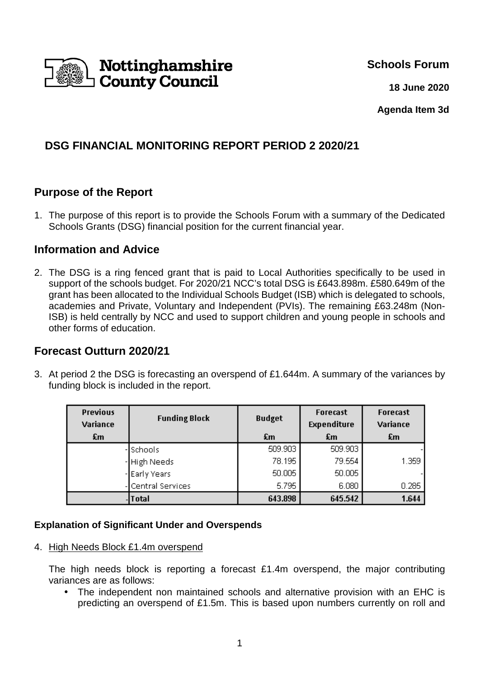

**Schools Forum**

**18 June 2020**

**Agenda Item 3d** 

# **DSG FINANCIAL MONITORING REPORT PERIOD 2 2020/21**

### **Purpose of the Report**

1. The purpose of this report is to provide the Schools Forum with a summary of the Dedicated Schools Grants (DSG) financial position for the current financial year.

#### **Information and Advice**

2. The DSG is a ring fenced grant that is paid to Local Authorities specifically to be used in support of the schools budget. For 2020/21 NCC's total DSG is £643.898m. £580.649m of the grant has been allocated to the Individual Schools Budget (ISB) which is delegated to schools, academies and Private, Voluntary and Independent (PVIs). The remaining £63.248m (Non-ISB) is held centrally by NCC and used to support children and young people in schools and other forms of education.

### **Forecast Outturn 2020/21**

3. At period 2 the DSG is forecasting an overspend of £1.644m. A summary of the variances by funding block is included in the report.

| <b>Previous</b><br>Variance | <b>Funding Block</b> | <b>Budget</b> | <b>Forecast</b><br><b>Expenditure</b> | <b>Forecast</b><br>Variance |
|-----------------------------|----------------------|---------------|---------------------------------------|-----------------------------|
| £m                          |                      | £m            | £m                                    | £m                          |
|                             | Schools              | 509.903       | 509.903                               |                             |
|                             | - High Needs         | 78.195        | 79.554                                | 1.359                       |
|                             | - Early Years        | 50.005        | 50.005                                |                             |
|                             | Central Services     | 5.795         | 6.080                                 | 0.285                       |
|                             | <b>Total</b>         | 643.898       | 645.542                               | 1.644                       |

#### **Explanation of Significant Under and Overspends**

4. High Needs Block £1.4m overspend

The high needs block is reporting a forecast £1.4m overspend, the major contributing variances are as follows:

• The independent non maintained schools and alternative provision with an EHC is predicting an overspend of £1.5m. This is based upon numbers currently on roll and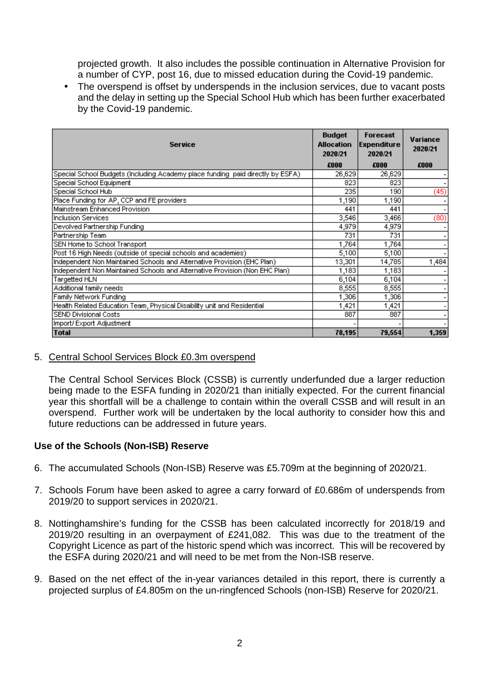projected growth. It also includes the possible continuation in Alternative Provision for a number of CYP, post 16, due to missed education during the Covid-19 pandemic.

• The overspend is offset by underspends in the inclusion services, due to vacant posts and the delay in setting up the Special School Hub which has been further exacerbated by the Covid-19 pandemic.

| <b>Service</b>                                                                  |        | Forecast<br><b>Expenditure</b><br>2020/21 | Variance<br>2020/21      |
|---------------------------------------------------------------------------------|--------|-------------------------------------------|--------------------------|
|                                                                                 | £000   | £000                                      | £000                     |
| Special School Budgets (Including Academy place funding paid directly by ESFA). | 26,629 | 26,629                                    |                          |
| Special School Equipment                                                        | 823    | 823                                       |                          |
| Special School Hub                                                              | 235    | 190                                       | (45)                     |
| Place Funding for AP, CCP and FE providers                                      | 1,190  | 1,190                                     |                          |
| Mainstream Enhanced Provision                                                   | 441    | 441                                       | $\overline{\phantom{a}}$ |
| Inclusion Services.                                                             | 3,546  | 3,466                                     | (80)                     |
| Devolved Partnership Funding                                                    | 4,979  | 4,979                                     |                          |
| Partnership Team                                                                | 731    | 731                                       |                          |
| SEN Home to School Transport                                                    | 1,764  | 1,764                                     |                          |
| Post 16 High Needs (outside of special schools and academies)                   | 5,100  | 5,100                                     |                          |
| Independent Non Maintained Schools and Alternative Provision (EHC Plan)         | 13,301 | 14,785                                    | 1,484                    |
| Independent Non Maintained Schools and Alternative Provision (Non EHC Plan)     | 1,183  | 1,183                                     |                          |
| Targetted HLN                                                                   | 6,104  | 6,104                                     | ٠                        |
| Additional family needs                                                         | 8,555  | 8,555                                     |                          |
| Family Network Funding                                                          |        | 1,306<br>1,306                            |                          |
| Health Related Education Team, Physical Disability unit and Residential         |        | 1,421                                     |                          |
| SEND Divisional Costs                                                           |        | 887                                       |                          |
| Import/Export Adjustment                                                        |        |                                           |                          |
| Total                                                                           | 78,195 | 79,554                                    | 1,359                    |

5. Central School Services Block £0.3m overspend

The Central School Services Block (CSSB) is currently underfunded due a larger reduction being made to the ESFA funding in 2020/21 than initially expected. For the current financial year this shortfall will be a challenge to contain within the overall CSSB and will result in an overspend. Further work will be undertaken by the local authority to consider how this and future reductions can be addressed in future years.

#### **Use of the Schools (Non-ISB) Reserve**

- 6. The accumulated Schools (Non-ISB) Reserve was £5.709m at the beginning of 2020/21.
- 7. Schools Forum have been asked to agree a carry forward of £0.686m of underspends from 2019/20 to support services in 2020/21.
- 8. Nottinghamshire's funding for the CSSB has been calculated incorrectly for 2018/19 and 2019/20 resulting in an overpayment of £241,082. This was due to the treatment of the Copyright Licence as part of the historic spend which was incorrect. This will be recovered by the ESFA during 2020/21 and will need to be met from the Non-ISB reserve.
- 9. Based on the net effect of the in-year variances detailed in this report, there is currently a projected surplus of £4.805m on the un-ringfenced Schools (non-ISB) Reserve for 2020/21.